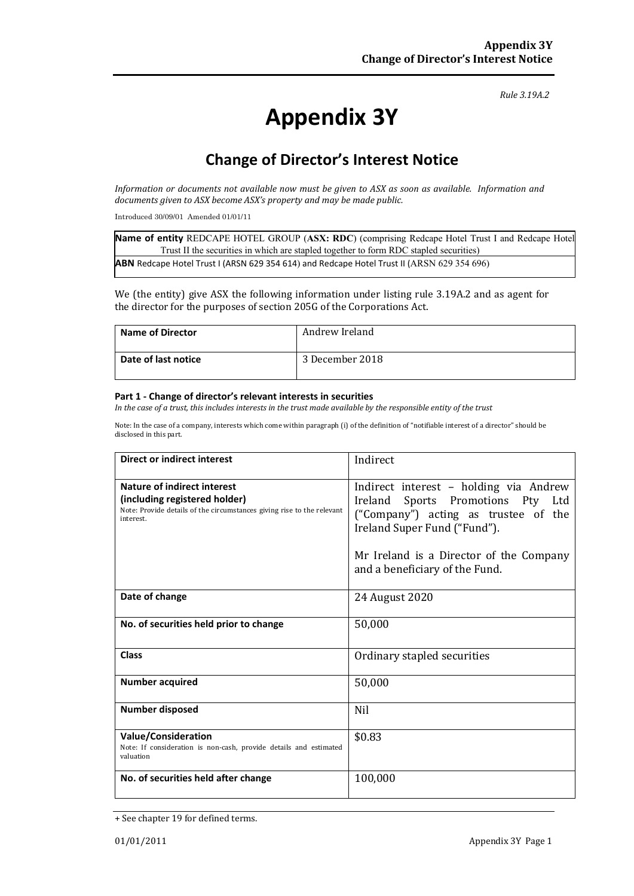#### *Rule 3.19A.2*

# **Appendix 3Y**

# **Change of Director's Interest Notice**

*Information or documents not available now must be given to ASX as soon as available. Information and documents given to ASX become ASX's property and may be made public.*

Introduced 30/09/01 Amended 01/01/11

| Name of entity REDCAPE HOTEL GROUP (ASX: RDC) (comprising Redcape Hotel Trust I and Redcape Hotel |
|---------------------------------------------------------------------------------------------------|
| Trust II the securities in which are stapled together to form RDC stapled securities)             |
| <b>ABN</b> Redcape Hotel Trust I (ARSN 629 354 614) and Redcape Hotel Trust II (ARSN 629 354 696) |

We (the entity) give ASX the following information under listing rule 3.19A.2 and as agent for the director for the purposes of section 205G of the Corporations Act.

| <b>Name of Director</b> | Andrew Ireland  |
|-------------------------|-----------------|
| Date of last notice     | 3 December 2018 |

#### **Part 1 - Change of director's relevant interests in securities**

*In the case of a trust, this includes interests in the trust made available by the responsible entity of the trust*

Note: In the case of a company, interests which come within paragraph (i) of the definition of "notifiable interest of a director" should be disclosed in this part.

| <b>Direct or indirect interest</b>                                                                                                                  | Indirect                                                                                                                                                                                                                         |
|-----------------------------------------------------------------------------------------------------------------------------------------------------|----------------------------------------------------------------------------------------------------------------------------------------------------------------------------------------------------------------------------------|
| Nature of indirect interest<br>(including registered holder)<br>Note: Provide details of the circumstances giving rise to the relevant<br>interest. | Indirect interest - holding via Andrew<br>Ireland Sports Promotions Pty Ltd<br>("Company") acting as trustee of the<br>Ireland Super Fund ("Fund").<br>Mr Ireland is a Director of the Company<br>and a beneficiary of the Fund. |
| Date of change                                                                                                                                      | 24 August 2020                                                                                                                                                                                                                   |
| No. of securities held prior to change                                                                                                              | 50,000                                                                                                                                                                                                                           |
| <b>Class</b>                                                                                                                                        | Ordinary stapled securities                                                                                                                                                                                                      |
| <b>Number acquired</b>                                                                                                                              | 50,000                                                                                                                                                                                                                           |
| <b>Number disposed</b>                                                                                                                              | Nil                                                                                                                                                                                                                              |
| <b>Value/Consideration</b><br>Note: If consideration is non-cash, provide details and estimated<br>valuation                                        | \$0.83                                                                                                                                                                                                                           |
| No. of securities held after change                                                                                                                 | 100,000                                                                                                                                                                                                                          |

<sup>+</sup> See chapter 19 for defined terms.